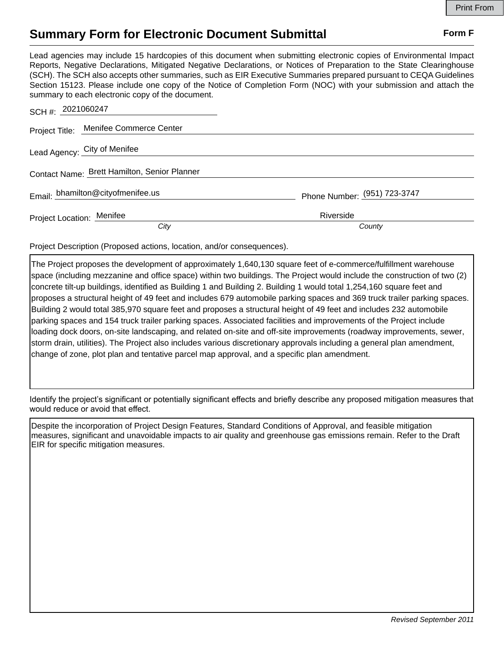## **Summary Form for Electronic Document Submittal Form F Form F**

Lead agencies may include 15 hardcopies of this document when submitting electronic copies of Environmental Impact Reports, Negative Declarations, Mitigated Negative Declarations, or Notices of Preparation to the State Clearinghouse (SCH). The SCH also accepts other summaries, such as EIR Executive Summaries prepared pursuant to CEQA Guidelines Section 15123. Please include one copy of the Notice of Completion Form (NOC) with your submission and attach the summary to each electronic copy of the document.

| SCH #: 2021060247                            |                              |
|----------------------------------------------|------------------------------|
| Project Title: Menifee Commerce Center       |                              |
| Lead Agency: City of Menifee                 |                              |
| Contact Name: Brett Hamilton, Senior Planner |                              |
| Email: bhamilton@cityofmenifee.us            | Phone Number: (951) 723-3747 |
| Project Location: Menifee                    | Riverside                    |
| City                                         | County                       |

Project Description (Proposed actions, location, and/or consequences).

The Project proposes the development of approximately 1,640,130 square feet of e-commerce/fulfillment warehouse space (including mezzanine and office space) within two buildings. The Project would include the construction of two (2) concrete tilt-up buildings, identified as Building 1 and Building 2. Building 1 would total 1,254,160 square feet and proposes a structural height of 49 feet and includes 679 automobile parking spaces and 369 truck trailer parking spaces. Building 2 would total 385,970 square feet and proposes a structural height of 49 feet and includes 232 automobile parking spaces and 154 truck trailer parking spaces. Associated facilities and improvements of the Project include loading dock doors, on-site landscaping, and related on-site and off-site improvements (roadway improvements, sewer, storm drain, utilities). The Project also includes various discretionary approvals including a general plan amendment, change of zone, plot plan and tentative parcel map approval, and a specific plan amendment.

Identify the project's significant or potentially significant effects and briefly describe any proposed mitigation measures that would reduce or avoid that effect.

Despite the incorporation of Project Design Features, Standard Conditions of Approval, and feasible mitigation measures, significant and unavoidable impacts to air quality and greenhouse gas emissions remain. Refer to the Draft EIR for specific mitigation measures.